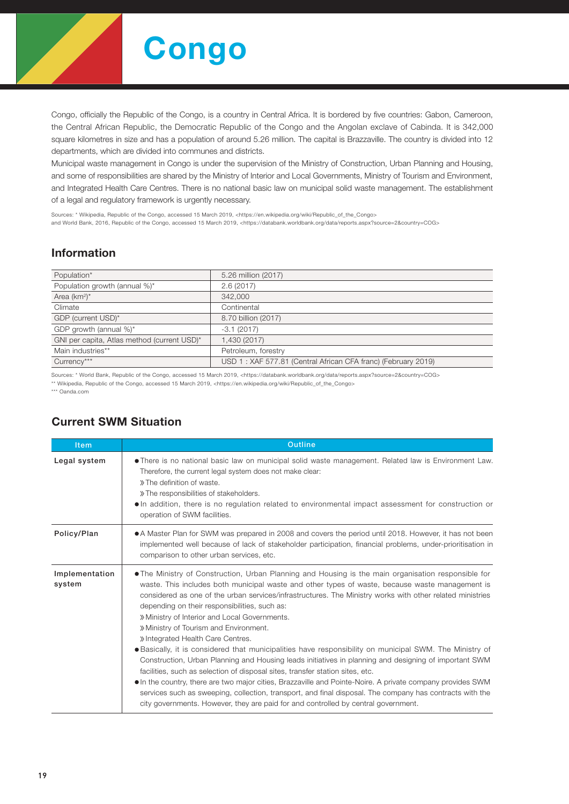

Congo, officially the Republic of the Congo, is a country in Central Africa. It is bordered by five countries: Gabon, Cameroon, the Central African Republic, the Democratic Republic of the Congo and the Angolan exclave of Cabinda. It is 342,000 square kilometres in size and has a population of around 5.26 million. The capital is Brazzaville. The country is divided into 12 departments, which are divided into communes and districts.

Municipal waste management in Congo is under the supervision of the Ministry of Construction, Urban Planning and Housing, and some of responsibilities are shared by the Ministry of Interior and Local Governments, Ministry of Tourism and Environment, and Integrated Health Care Centres. There is no national basic law on municipal solid waste management. The establishment of a legal and regulatory framework is urgently necessary.

Sources: \* Wikipedia, Republic of the Congo, accessed 15 March 2019, <https://en.wikipedia.org/wiki/Republic\_of\_the\_Congo> and World Bank, 2016, Republic of the Congo, accessed 15 March 2019, <https://databank.worldbank.org/data/reports.aspx?source=2&country=COG>

## Information

| Population*                                 | 5.26 million (2017)                                           |
|---------------------------------------------|---------------------------------------------------------------|
| Population growth (annual %)*               | 2.6(2017)                                                     |
| Area $(km^2)^*$                             | 342,000                                                       |
| Climate                                     | Continental                                                   |
| GDP (current USD)*                          | 8.70 billion (2017)                                           |
| GDP growth (annual %)*                      | $-3.1(2017)$                                                  |
| GNI per capita, Atlas method (current USD)* | 1,430 (2017)                                                  |
| Main industries**                           | Petroleum, forestry                                           |
| Currency***                                 | USD 1: XAF 577.81 (Central African CFA franc) (February 2019) |

Sources: \* World Bank, Republic of the Congo, accessed 15 March 2019, <https://databank.worldbank.org/data/reports.aspx?source=2&country=COG> \*\* Wikipedia, Republic of the Congo, accessed 15 March 2019, <https://en.wikipedia.org/wiki/Republic\_of\_the\_Congo>

\*\*\* Oanda.com

## Current SWM Situation

| <b>Item</b>              | <b>Outline</b>                                                                                                                                                                                                                                                                                                                                                                                                                                                                                                                                                                                                                                                                                                                                                                                                                                                                                                                                                                                                                                                                                                            |  |  |  |  |  |
|--------------------------|---------------------------------------------------------------------------------------------------------------------------------------------------------------------------------------------------------------------------------------------------------------------------------------------------------------------------------------------------------------------------------------------------------------------------------------------------------------------------------------------------------------------------------------------------------------------------------------------------------------------------------------------------------------------------------------------------------------------------------------------------------------------------------------------------------------------------------------------------------------------------------------------------------------------------------------------------------------------------------------------------------------------------------------------------------------------------------------------------------------------------|--|--|--|--|--|
| Legal system             | • There is no national basic law on municipal solid waste management. Related law is Environment Law.<br>Therefore, the current legal system does not make clear:<br>» The definition of waste.<br>» The responsibilities of stakeholders.<br>. In addition, there is no regulation related to environmental impact assessment for construction or<br>operation of SWM facilities.                                                                                                                                                                                                                                                                                                                                                                                                                                                                                                                                                                                                                                                                                                                                        |  |  |  |  |  |
| Policy/Plan              | • A Master Plan for SWM was prepared in 2008 and covers the period until 2018. However, it has not been<br>implemented well because of lack of stakeholder participation, financial problems, under-prioritisation in<br>comparison to other urban services, etc.                                                                                                                                                                                                                                                                                                                                                                                                                                                                                                                                                                                                                                                                                                                                                                                                                                                         |  |  |  |  |  |
| Implementation<br>system | • The Ministry of Construction, Urban Planning and Housing is the main organisation responsible for<br>waste. This includes both municipal waste and other types of waste, because waste management is<br>considered as one of the urban services/infrastructures. The Ministry works with other related ministries<br>depending on their responsibilities, such as:<br>» Ministry of Interior and Local Governments.<br>» Ministry of Tourism and Environment.<br>» Integrated Health Care Centres.<br>• Basically, it is considered that municipalities have responsibility on municipal SWM. The Ministry of<br>Construction, Urban Planning and Housing leads initiatives in planning and designing of important SWM<br>facilities, such as selection of disposal sites, transfer station sites, etc.<br>• In the country, there are two major cities, Brazzaville and Pointe-Noire. A private company provides SWM<br>services such as sweeping, collection, transport, and final disposal. The company has contracts with the<br>city governments. However, they are paid for and controlled by central government. |  |  |  |  |  |